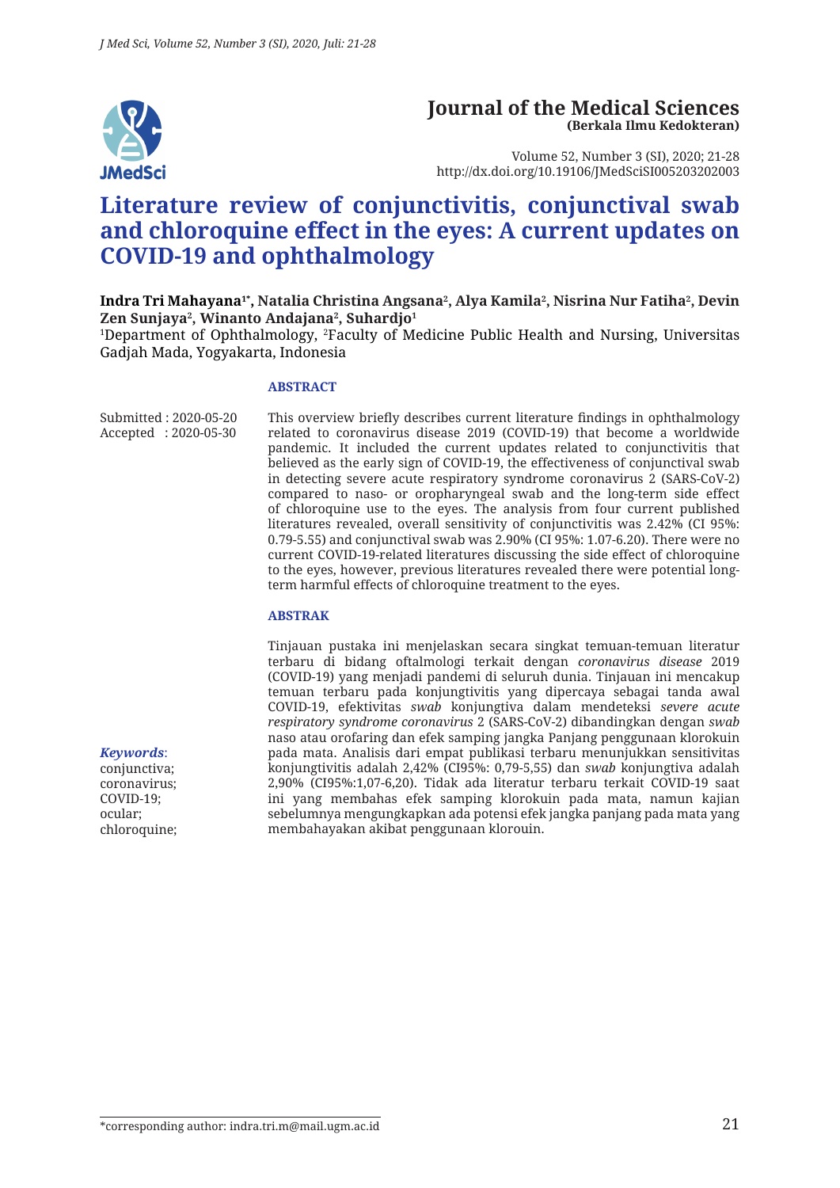

#### **Journal of the Medical Sciences (Berkala Ilmu Kedokteran)**

Volume 52, Number 3 (SI), 2020; 21-28 http://dx.doi.org/10.19106/JMedSciSI005203202003

# **Literature review of conjunctivitis, conjunctival swab and chloroquine effect in the eyes: A current updates on COVID-19 and ophthalmology**

**Indra Tri Mahayana1\*, Natalia Christina Angsana2 , Alya Kamila2 , Nisrina Nur Fatiha2 , Devin Zen Sunjaya2 , Winanto Andajana2 , Suhardjo1**

1 Department of Ophthalmology, <sup>2</sup> Faculty of Medicine Public Health and Nursing, Universitas Gadjah Mada, Yogyakarta, Indonesia

#### **ABSTRACT**

Submitted : 2020-05-20 Accepted : 2020-05-30 This overview briefly describes current literature findings in ophthalmology related to coronavirus disease 2019 (COVID-19) that become a worldwide pandemic. It included the current updates related to conjunctivitis that believed as the early sign of COVID-19, the effectiveness of conjunctival swab in detecting severe acute respiratory syndrome coronavirus 2 (SARS-CoV-2) compared to naso- or oropharyngeal swab and the long-term side effect of chloroquine use to the eyes. The analysis from four current published literatures revealed, overall sensitivity of conjunctivitis was 2.42% (CI 95%: 0.79-5.55) and conjunctival swab was 2.90% (CI 95%: 1.07-6.20). There were no current COVID-19-related literatures discussing the side effect of chloroquine to the eyes, however, previous literatures revealed there were potential longterm harmful effects of chloroquine treatment to the eyes.

#### **ABSTRAK**

Tinjauan pustaka ini menjelaskan secara singkat temuan-temuan literatur terbaru di bidang oftalmologi terkait dengan *coronavirus disease* 2019 (COVID-19) yang menjadi pandemi di seluruh dunia. Tinjauan ini mencakup temuan terbaru pada konjungtivitis yang dipercaya sebagai tanda awal COVID-19, efektivitas *swab* konjungtiva dalam mendeteksi *severe acute respiratory syndrome coronavirus* 2 (SARS-CoV-2) dibandingkan dengan *swab*  naso atau orofaring dan efek samping jangka Panjang penggunaan klorokuin pada mata. Analisis dari empat publikasi terbaru menunjukkan sensitivitas konjungtivitis adalah 2,42% (CI95%: 0,79-5,55) dan *swab* konjungtiva adalah 2,90% (CI95%:1,07-6,20). Tidak ada literatur terbaru terkait COVID-19 saat ini yang membahas efek samping klorokuin pada mata, namun kajian sebelumnya mengungkapkan ada potensi efek jangka panjang pada mata yang membahayakan akibat penggunaan klorouin.

*Keywords*: conjunctiva; coronavirus;

COVID-19; ocular; chloroquine;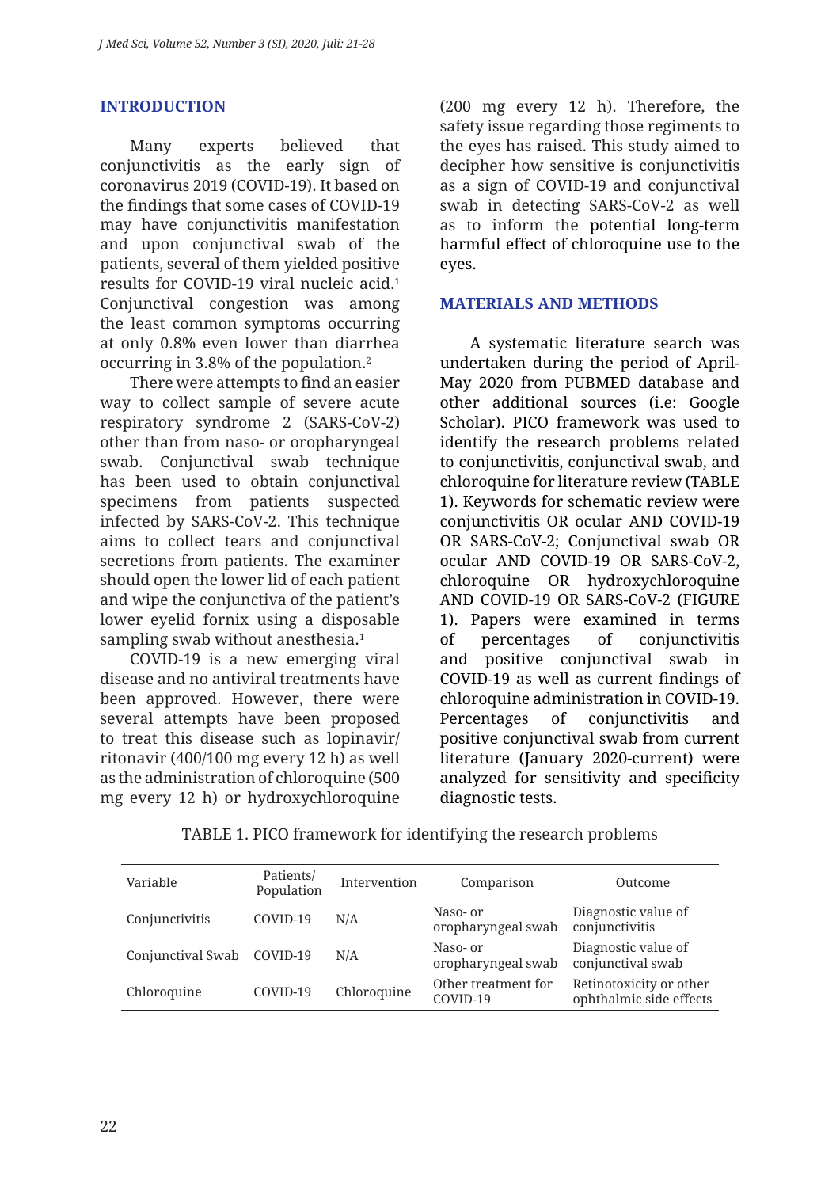# **INTRODUCTION**

Many experts believed that conjunctivitis as the early sign of coronavirus 2019 (COVID-19). It based on the findings that some cases of COVID-19 may have conjunctivitis manifestation and upon conjunctival swab of the patients, several of them yielded positive results for COVID-19 viral nucleic acid.1 Conjunctival congestion was among the least common symptoms occurring at only 0.8% even lower than diarrhea occurring in 3.8% of the population.2

There were attempts to find an easier way to collect sample of severe acute respiratory syndrome 2 (SARS-CoV-2) other than from naso- or oropharyngeal swab. Conjunctival swab technique has been used to obtain conjunctival specimens from patients suspected infected by SARS-CoV-2. This technique aims to collect tears and conjunctival secretions from patients. The examiner should open the lower lid of each patient and wipe the conjunctiva of the patient's lower eyelid fornix using a disposable sampling swab without anesthesia.<sup>1</sup>

COVID-19 is a new emerging viral disease and no antiviral treatments have been approved. However, there were several attempts have been proposed to treat this disease such as lopinavir/ ritonavir (400/100 mg every 12 h) as well as the administration of chloroquine (500 mg every 12 h) or hydroxychloroquine (200 mg every 12 h). Therefore, the safety issue regarding those regiments to the eyes has raised. This study aimed to decipher how sensitive is conjunctivitis as a sign of COVID-19 and conjunctival swab in detecting SARS-CoV-2 as well as to inform the potential long-term harmful effect of chloroquine use to the eyes.

### **MATERIALS AND METHODS**

A systematic literature search was undertaken during the period of April-May 2020 from PUBMED database and other additional sources (i.e: Google Scholar). PICO framework was used to identify the research problems related to conjunctivitis, conjunctival swab, and chloroquine for literature review (TABLE 1). Keywords for schematic review were conjunctivitis OR ocular AND COVID-19 OR SARS-CoV-2; Conjunctival swab OR ocular AND COVID-19 OR SARS-CoV-2, chloroquine OR hydroxychloroquine AND COVID-19 OR SARS-CoV-2 (FIGURE 1). Papers were examined in terms of percentages of conjunctivitis and positive conjunctival swab in COVID-19 as well as current findings of chloroquine administration in COVID-19. Percentages of conjunctivitis and positive conjunctival swab from current literature (January 2020-current) were analyzed for sensitivity and specificity diagnostic tests.

| Variable          | Patients/<br>Population | Intervention | Comparison                      | Outcome                                            |
|-------------------|-------------------------|--------------|---------------------------------|----------------------------------------------------|
| Conjunctivitis    | COVID-19                | N/A          | Naso- or<br>oropharyngeal swab  | Diagnostic value of<br>conjunctivitis              |
| Conjunctival Swab | COVID-19                | N/A          | Naso- or<br>oropharyngeal swab  | Diagnostic value of<br>conjunctival swab           |
| Chloroquine       | COVID-19                | Chloroquine  | Other treatment for<br>COVID-19 | Retinotoxicity or other<br>ophthalmic side effects |

TABLE 1. PICO framework for identifying the research problems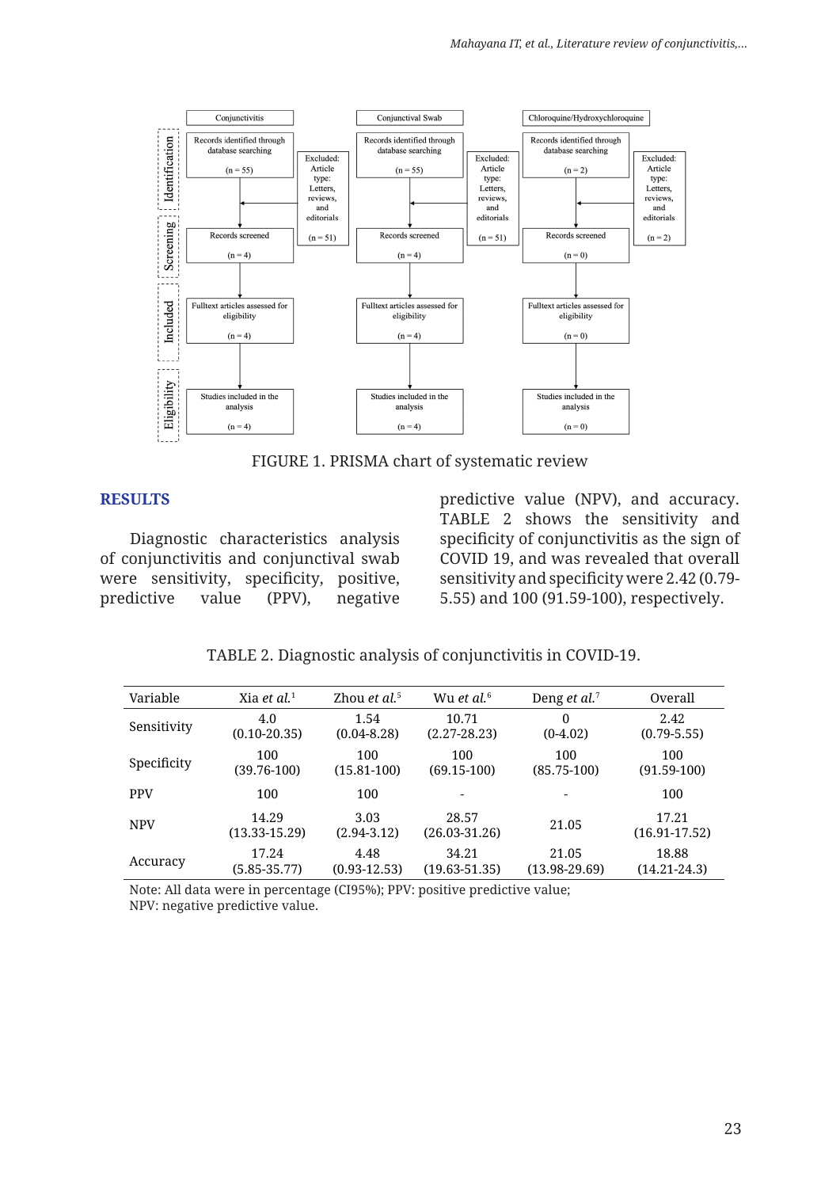

FIGURE 1. PRISMA chart of systematic review

#### **RESULTS**

Diagnostic characteristics analysis of conjunctivitis and conjunctival swab were sensitivity, specificity, positive, predictive value (PPV), negative predictive value (NPV), and accuracy. TABLE 2 shows the sensitivity and specificity of conjunctivitis as the sign of COVID 19, and was revealed that overall sensitivity and specificity were 2.42 (0.79- 5.55) and 100 (91.59-100), respectively.

TABLE 2. Diagnostic analysis of conjunctivitis in COVID-19.

| Variable    | Xia et al. $1$             | Zhou et al. <sup>5</sup> | Wu et al. <sup>6</sup>     | Deng <i>et al.</i> <sup>7</sup> | Overall                    |
|-------------|----------------------------|--------------------------|----------------------------|---------------------------------|----------------------------|
| Sensitivity | 4.0<br>$(0.10 - 20.35)$    | 1.54<br>$(0.04 - 8.28)$  | 10.71<br>$(2.27 - 28.23)$  | $\Omega$<br>$(0-4.02)$          | 2.42<br>$(0.79 - 5.55)$    |
| Specificity | 100<br>$(39.76 - 100)$     | 100<br>$(15.81 - 100)$   | 100<br>$(69.15-100)$       | 100<br>$(85.75-100)$            | 100<br>$(91.59-100)$       |
| <b>PPV</b>  | 100                        | 100                      | $\overline{\phantom{0}}$   |                                 | 100                        |
| <b>NPV</b>  | 14.29<br>$(13.33 - 15.29)$ | 3.03<br>$(2.94 - 3.12)$  | 28.57<br>$(26.03 - 31.26)$ | 21.05                           | 17.21<br>$(16.91 - 17.52)$ |
| Accuracy    | 17.24<br>(5.85-35.77)      | 4.48<br>$(0.93 - 12.53)$ | 34.21<br>$(19.63 - 51.35)$ | 21.05<br>$(13.98 - 29.69)$      | 18.88<br>$(14.21 - 24.3)$  |

Note: All data were in percentage (CI95%); PPV: positive predictive value; NPV: negative predictive value.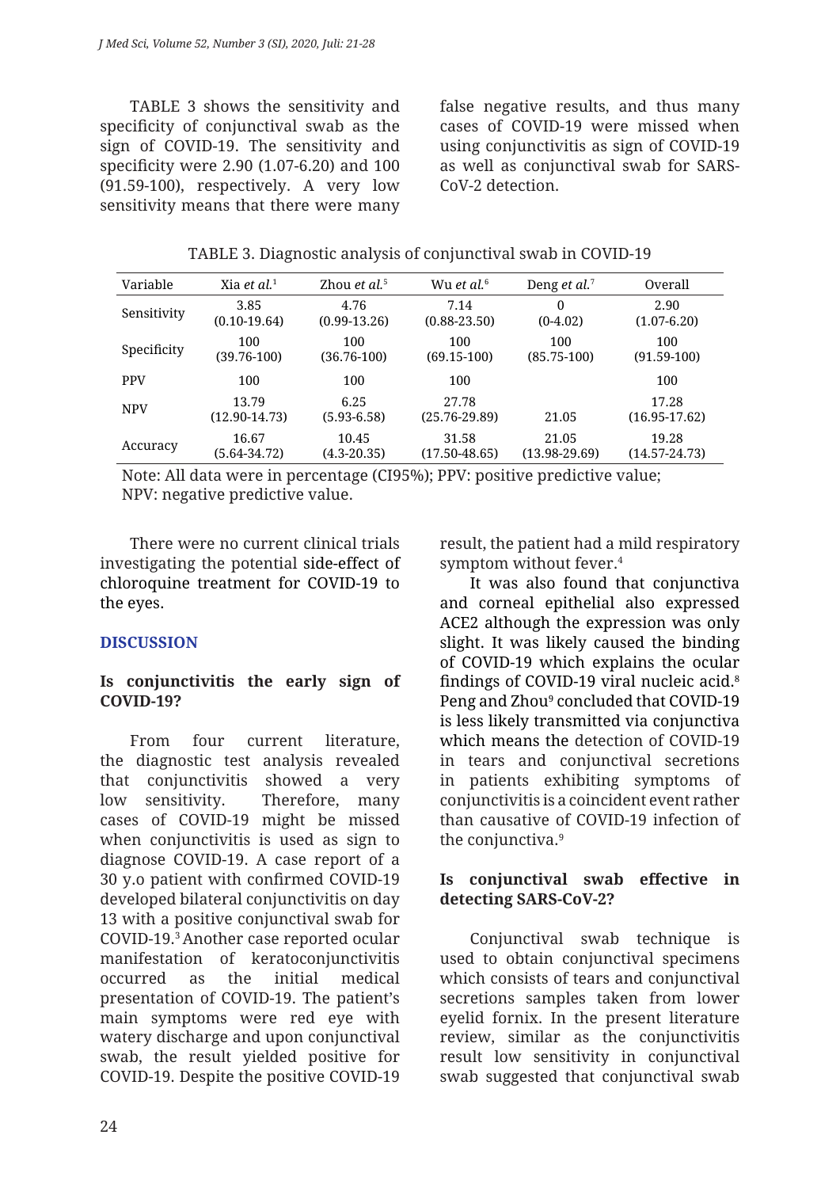TABLE 3 shows the sensitivity and specificity of conjunctival swab as the sign of COVID-19. The sensitivity and specificity were 2.90 (1.07-6.20) and 100 (91.59-100), respectively. A very low sensitivity means that there were many

false negative results, and thus many cases of COVID-19 were missed when using conjunctivitis as sign of COVID-19 as well as conjunctival swab for SARS-CoV-2 detection.

| Variable    | Xia et al. $1$             | Zhou et al. <sup>5</sup> | Wu et al. <sup>6</sup>     | Deng <i>et al.</i> <sup>7</sup> | Overall                    |
|-------------|----------------------------|--------------------------|----------------------------|---------------------------------|----------------------------|
| Sensitivity | 3.85                       | 4.76                     | 7.14                       | 0                               | 2.90                       |
|             | $(0.10-19.64)$             | $(0.99 - 13.26)$         | $(0.88 - 23.50)$           | $(0-4.02)$                      | $(1.07 - 6.20)$            |
| Specificity | 100                        | 100                      | 100                        | 100                             | 100                        |
|             | $(39.76 - 100)$            | $(36.76 - 100)$          | $(69.15-100)$              | $(85.75-100)$                   | $(91.59-100)$              |
| <b>PPV</b>  | 100                        | 100                      | 100                        |                                 | 100                        |
| <b>NPV</b>  | 13.79<br>$(12.90 - 14.73)$ | 6.25<br>$(5.93 - 6.58)$  | 27.78<br>$(25.76 - 29.89)$ | 21.05                           | 17.28<br>$(16.95 - 17.62)$ |
| Accuracy    | 16.67                      | 10.45                    | 31.58                      | 21.05                           | 19.28                      |
|             | (5.64-34.72)               | $(4.3 - 20.35)$          | $(17.50 - 48.65)$          | $(13.98 - 29.69)$               | $(14.57 - 24.73)$          |

TABLE 3. Diagnostic analysis of conjunctival swab in COVID-19

Note: All data were in percentage (CI95%); PPV: positive predictive value; NPV: negative predictive value.

There were no current clinical trials investigating the potential side-effect of chloroquine treatment for COVID-19 to the eyes.

# **DISCUSSION**

# **Is conjunctivitis the early sign of COVID-19?**

From four current literature, the diagnostic test analysis revealed that conjunctivitis showed a very low sensitivity. Therefore, many cases of COVID-19 might be missed when conjunctivitis is used as sign to diagnose COVID-19. A case report of a 30 y.o patient with confirmed COVID-19 developed bilateral conjunctivitis on day 13 with a positive conjunctival swab for COVID-19.3 Another case reported ocular manifestation of keratoconjunctivitis occurred as the initial medical presentation of COVID-19. The patient's main symptoms were red eye with watery discharge and upon conjunctival swab, the result yielded positive for COVID-19. Despite the positive COVID-19 result, the patient had a mild respiratory symptom without fever.4

It was also found that conjunctiva and corneal epithelial also expressed ACE2 although the expression was only slight. It was likely caused the binding of COVID-19 which explains the ocular findings of COVID-19 viral nucleic acid.<sup>8</sup> Peng and Zhou<sup>9</sup> concluded that COVID-19 is less likely transmitted via conjunctiva which means the detection of COVID-19 in tears and conjunctival secretions in patients exhibiting symptoms of conjunctivitis is a coincident event rather than causative of COVID-19 infection of the conjunctiva.9

#### **Is conjunctival swab effective in detecting SARS-CoV-2?**

Conjunctival swab technique is used to obtain conjunctival specimens which consists of tears and conjunctival secretions samples taken from lower eyelid fornix. In the present literature review, similar as the conjunctivitis result low sensitivity in conjunctival swab suggested that conjunctival swab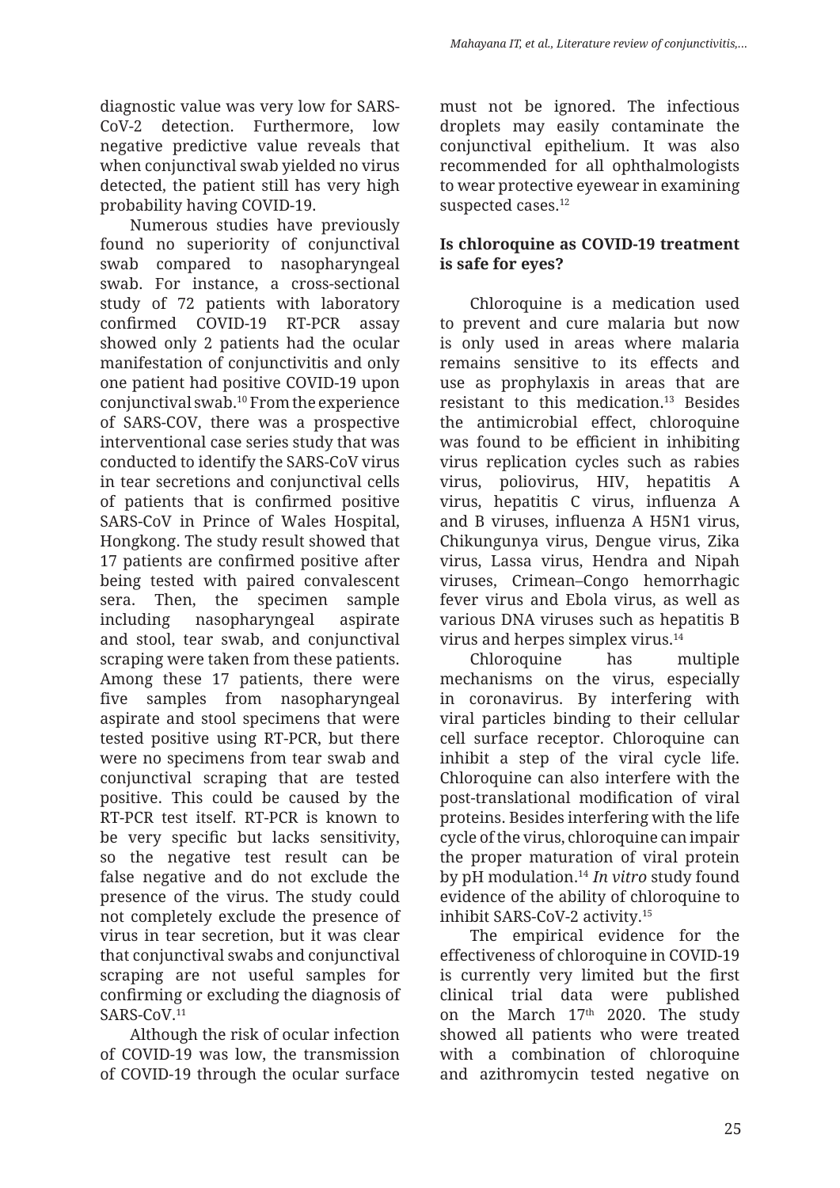diagnostic value was very low for SARS-CoV-2 detection. Furthermore, low negative predictive value reveals that when conjunctival swab yielded no virus detected, the patient still has very high probability having COVID-19.

Numerous studies have previously found no superiority of conjunctival swab compared to nasopharyngeal swab. For instance, a cross-sectional study of 72 patients with laboratory confirmed COVID-19 RT-PCR assay showed only 2 patients had the ocular manifestation of conjunctivitis and only one patient had positive COVID-19 upon conjunctival swab.10 From the experience of SARS-COV, there was a prospective interventional case series study that was conducted to identify the SARS-CoV virus in tear secretions and conjunctival cells of patients that is confirmed positive SARS-CoV in Prince of Wales Hospital, Hongkong. The study result showed that 17 patients are confirmed positive after being tested with paired convalescent sera. Then, the specimen sample including nasopharyngeal aspirate and stool, tear swab, and conjunctival scraping were taken from these patients. Among these 17 patients, there were five samples from nasopharyngeal aspirate and stool specimens that were tested positive using RT-PCR, but there were no specimens from tear swab and conjunctival scraping that are tested positive. This could be caused by the RT-PCR test itself. RT-PCR is known to be very specific but lacks sensitivity, so the negative test result can be false negative and do not exclude the presence of the virus. The study could not completely exclude the presence of virus in tear secretion, but it was clear that conjunctival swabs and conjunctival scraping are not useful samples for confirming or excluding the diagnosis of SARS-CoV<sub>.11</sub>

Although the risk of ocular infection of COVID-19 was low, the transmission of COVID-19 through the ocular surface must not be ignored. The infectious droplets may easily contaminate the conjunctival epithelium. It was also recommended for all ophthalmologists to wear protective eyewear in examining suspected cases.<sup>12</sup>

# **Is chloroquine as COVID-19 treatment is safe for eyes?**

Chloroquine is a medication used to prevent and cure malaria but now is only used in areas where malaria remains sensitive to its effects and use as prophylaxis in areas that are resistant to this medication.13 Besides the antimicrobial effect, chloroquine was found to be efficient in inhibiting virus replication cycles such as rabies virus, poliovirus, HIV, hepatitis A virus, hepatitis C virus, influenza A and B viruses, influenza A H5N1 virus, Chikungunya virus, Dengue virus, Zika virus, Lassa virus, Hendra and Nipah viruses, Crimean–Congo hemorrhagic fever virus and Ebola virus, as well as various DNA viruses such as hepatitis B virus and herpes simplex virus.14

Chloroquine has multiple mechanisms on the virus, especially in coronavirus. By interfering with viral particles binding to their cellular cell surface receptor. Chloroquine can inhibit a step of the viral cycle life. Chloroquine can also interfere with the post-translational modification of viral proteins. Besides interfering with the life cycle of the virus, chloroquine can impair the proper maturation of viral protein by pH modulation.14 *In vitro* study found evidence of the ability of chloroquine to inhibit SARS-CoV-2 activity.15

The empirical evidence for the effectiveness of chloroquine in COVID-19 is currently very limited but the first clinical trial data were published on the March 17th 2020. The study showed all patients who were treated with a combination of chloroquine and azithromycin tested negative on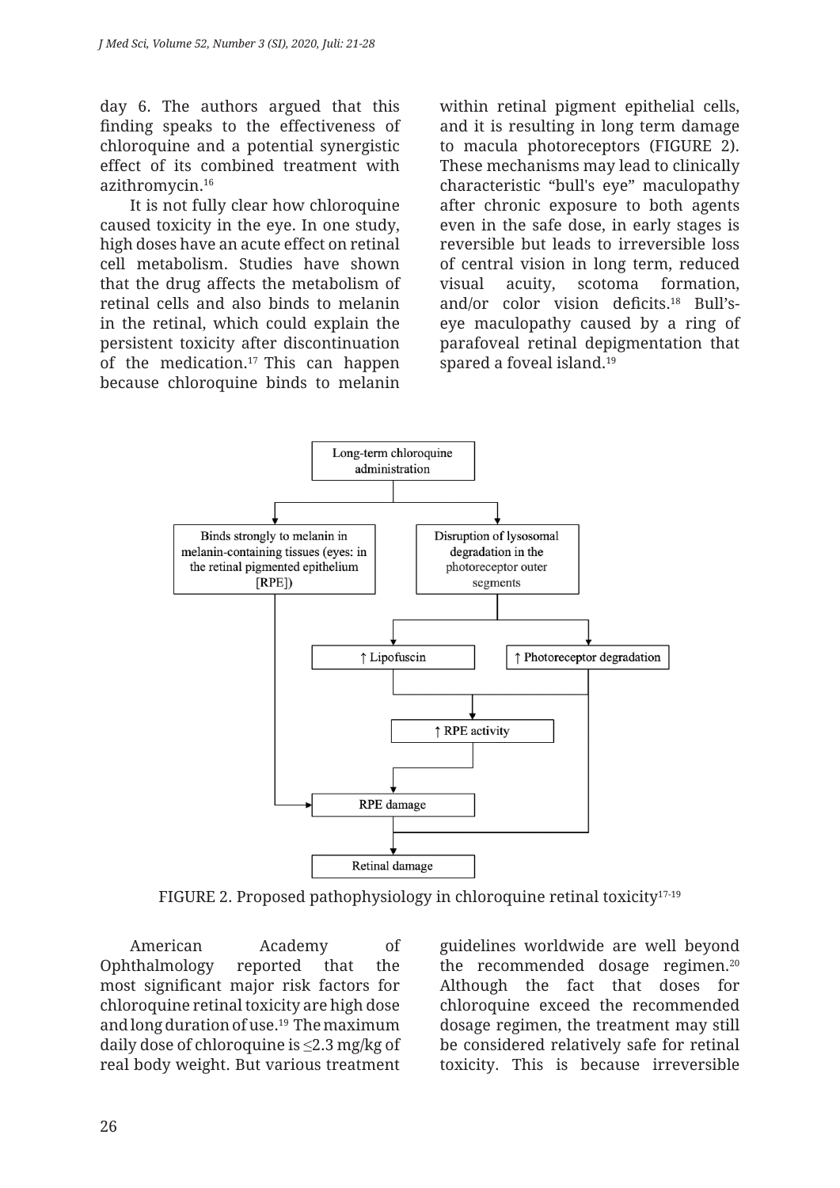day 6. The authors argued that this finding speaks to the effectiveness of chloroquine and a potential synergistic effect of its combined treatment with azithromycin.16

It is not fully clear how chloroquine caused toxicity in the eye. In one study, high doses have an acute effect on retinal cell metabolism. Studies have shown that the drug affects the metabolism of retinal cells and also binds to melanin in the retinal, which could explain the persistent toxicity after discontinuation of the medication.17 This can happen because chloroquine binds to melanin within retinal pigment epithelial cells, and it is resulting in long term damage to macula photoreceptors (FIGURE 2). These mechanisms may lead to clinically characteristic "bull's eye" maculopathy after chronic exposure to both agents even in the safe dose, in early stages is reversible but leads to irreversible loss of central vision in long term, reduced visual acuity, scotoma formation, and/or color vision deficits.18 Bull'seye maculopathy caused by a ring of parafoveal retinal depigmentation that spared a foveal island.<sup>19</sup>



FIGURE 2. Proposed pathophysiology in chloroquine retinal toxicity<sup>17-19</sup>

American Academy of Ophthalmology reported that the most significant major risk factors for chloroquine retinal toxicity are high dose and long duration of use.19 The maximum daily dose of chloroquine is ≤2.3 mg/kg of real body weight. But various treatment guidelines worldwide are well beyond the recommended dosage regimen.20 Although the fact that doses for chloroquine exceed the recommended dosage regimen, the treatment may still be considered relatively safe for retinal toxicity. This is because irreversible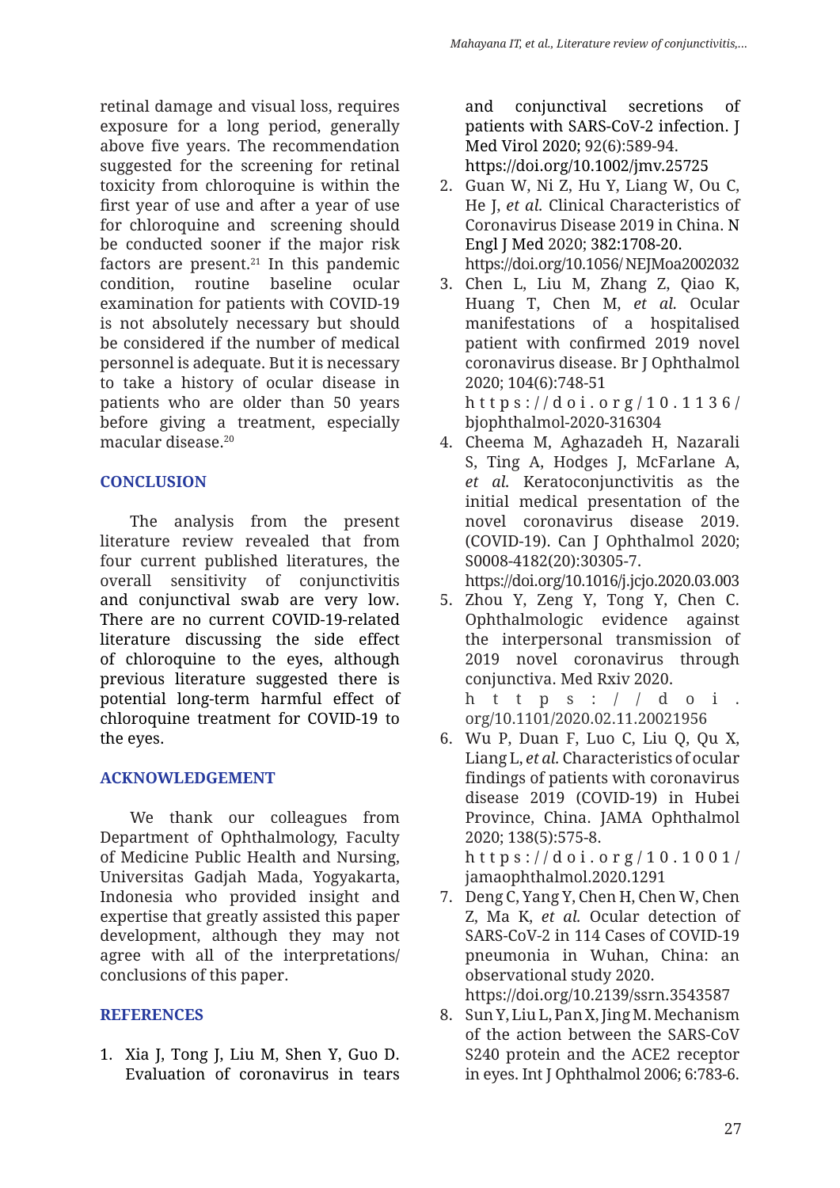retinal damage and visual loss, requires exposure for a long period, generally above five years. The recommendation suggested for the screening for retinal toxicity from chloroquine is within the first year of use and after a year of use for chloroquine and screening should be conducted sooner if the major risk factors are present. $21$  In this pandemic condition, routine baseline ocular examination for patients with COVID-19 is not absolutely necessary but should be considered if the number of medical personnel is adequate. But it is necessary to take a history of ocular disease in patients who are older than 50 years before giving a treatment, especially macular disease<sup>20</sup>

## **CONCLUSION**

The analysis from the present literature review revealed that from four current published literatures, the overall sensitivity of conjunctivitis and conjunctival swab are very low. There are no current COVID-19-related literature discussing the side effect of chloroquine to the eyes, although previous literature suggested there is potential long-term harmful effect of chloroquine treatment for COVID-19 to the eyes.

# **ACKNOWLEDGEMENT**

We thank our colleagues from Department of Ophthalmology, Faculty of Medicine Public Health and Nursing, Universitas Gadjah Mada, Yogyakarta, Indonesia who provided insight and expertise that greatly assisted this paper development, although they may not agree with all of the interpretations/ conclusions of this paper.

## **REFERENCES**

1. Xia J, Tong J, Liu M, Shen Y, Guo D. Evaluation of coronavirus in tears and conjunctival secretions of patients with SARS-CoV-2 infection. J Med Virol 2020; 92(6):589-94. https://doi.org/10.1002/jmv.25725

- 2. Guan W, Ni Z, Hu Y, Liang W, Ou C, He J, *et al.* Clinical Characteristics of Coronavirus Disease 2019 in China. N Engl J Med 2020; 382:1708-20. https://doi.org/10.1056/ NEJMoa2002032
- 3. Chen L, Liu M, Zhang Z, Qiao K, Huang T, Chen M, *et al.* Ocular manifestations of a hospitalised patient with confirmed 2019 novel coronavirus disease. Br J Ophthalmol 2020; 104(6):748-51 https:// doi .org/ 10.1136/ bjophthalmol-2020-316304
- 4. Cheema M, Aghazadeh H, Nazarali S, Ting A, Hodges J, McFarlane A, *et al.* Keratoconjunctivitis as the initial medical presentation of the novel coronavirus disease 2019. (COVID-19). Can J Ophthalmol 2020; S0008-4182(20):30305-7.

https://doi.org/10.1016/j.jcjo.2020.03.003

5. Zhou Y, Zeng Y, Tong Y, Chen C. Ophthalmologic evidence against the interpersonal transmission of 2019 novel coronavirus through conjunctiva. Med Rxiv 2020.

https:// $d$ oi. org/10.1101/2020.02.11.20021956

- 6. Wu P, Duan F, Luo C, Liu Q, Qu X, Liang L, *et al.* Characteristics of ocular findings of patients with coronavirus disease 2019 (COVID-19) in Hubei Province, China. JAMA Ophthalmol 2020; 138(5):575-8. https:// doi .org/ 10.1001/ jamaophthalmol.2020.1291
- 7. Deng C, Yang Y, Chen H, Chen W, Chen Z, Ma K, *et al.* Ocular detection of SARS-CoV-2 in 114 Cases of COVID-19 pneumonia in Wuhan, China: an observational study 2020. https://doi.org/10.2139/ssrn.3543587
- 8. Sun Y, Liu L, Pan X, Jing M. Mechanism of the action between the SARS-CoV S240 protein and the ACE2 receptor in eyes. Int J Ophthalmol 2006; 6:783-6.